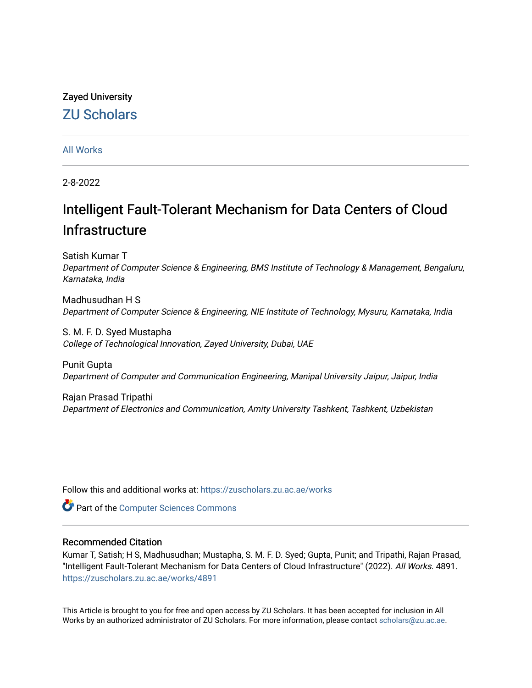# Zayed University [ZU Scholars](https://zuscholars.zu.ac.ae/)

# [All Works](https://zuscholars.zu.ac.ae/works)

2-8-2022

# Intelligent Fault-Tolerant Mechanism for Data Centers of Cloud **Infrastructure**

Satish Kumar T Department of Computer Science & Engineering, BMS Institute of Technology & Management, Bengaluru, Karnataka, India

Madhusudhan H S Department of Computer Science & Engineering, NIE Institute of Technology, Mysuru, Karnataka, India

S. M. F. D. Syed Mustapha College of Technological Innovation, Zayed University, Dubai, UAE

Punit Gupta Department of Computer and Communication Engineering, Manipal University Jaipur, Jaipur, India

Rajan Prasad Tripathi Department of Electronics and Communication, Amity University Tashkent, Tashkent, Uzbekistan

Follow this and additional works at: [https://zuscholars.zu.ac.ae/works](https://zuscholars.zu.ac.ae/works?utm_source=zuscholars.zu.ac.ae%2Fworks%2F4891&utm_medium=PDF&utm_campaign=PDFCoverPages)

**Part of the [Computer Sciences Commons](http://network.bepress.com/hgg/discipline/142?utm_source=zuscholars.zu.ac.ae%2Fworks%2F4891&utm_medium=PDF&utm_campaign=PDFCoverPages)** 

# Recommended Citation

Kumar T, Satish; H S, Madhusudhan; Mustapha, S. M. F. D. Syed; Gupta, Punit; and Tripathi, Rajan Prasad, "Intelligent Fault-Tolerant Mechanism for Data Centers of Cloud Infrastructure" (2022). All Works. 4891. [https://zuscholars.zu.ac.ae/works/4891](https://zuscholars.zu.ac.ae/works/4891?utm_source=zuscholars.zu.ac.ae%2Fworks%2F4891&utm_medium=PDF&utm_campaign=PDFCoverPages)

This Article is brought to you for free and open access by ZU Scholars. It has been accepted for inclusion in All Works by an authorized administrator of ZU Scholars. For more information, please contact [scholars@zu.ac.ae](mailto:scholars@zu.ac.ae).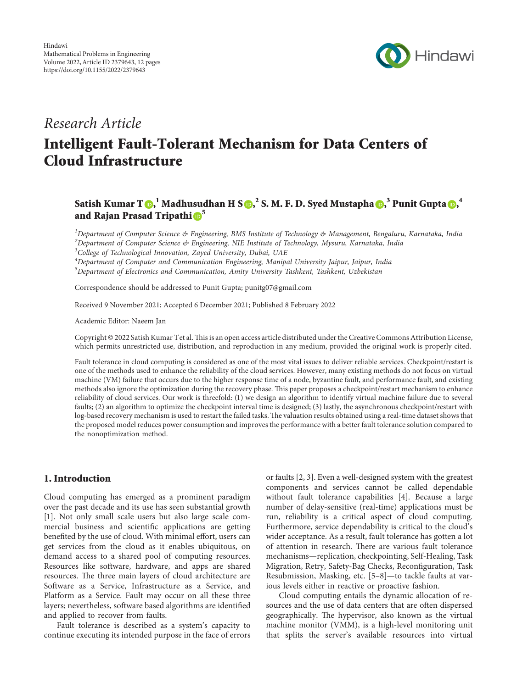

# *Research Article*

# **Intelligent Fault-Tolerant Mechanism for Data Centers of Cloud Infrastructure**

# ${\bf S}$ atish Kumar T ${\bf \odot}_{\bf k}^{-1}$  Madhusudhan H S ${\bf \odot}_{\bf k}^{-2}$  S. M. F. D. Syed Mustapha ${\bf \odot}_{\bf k}^{-3}$  Punit Gupta ${\bf \odot}_{\bf k}^{-4}$ **and Rajan Prasad Tripathi [5](https://orcid.org/0000-0002-1192-4773)**

*1 Department of Computer Science & Engineering, BMS Institute of Technology & Management, Bengaluru, Karnataka, India 2 Department of Computer Science & Engineering, NIE Institute of Technology, Mysuru, Karnataka, India*

*3 College of Technological Innovation, Zayed University, Dubai, UAE*

*4 Department of Computer and Communication Engineering, Manipal University Jaipur, Jaipur, India 5 Department of Electronics and Communication, Amity University Tashkent, Tashkent, Uzbekistan*

Correspondence should be addressed to Punit Gupta; [punitg07@gmail.com](mailto:punitg07@gmail.com)

Received 9 November 2021; Accepted 6 December 2021; Published 8 February 2022

Academic Editor: Naeem Jan

Copyright © 2022 Satish Kumar Tet al. This is an open access article distributed under the [Creative Commons Attribution License](https://creativecommons.org/licenses/by/4.0/), which permits unrestricted use, distribution, and reproduction in any medium, provided the original work is properly cited.

Fault tolerance in cloud computing is considered as one of the most vital issues to deliver reliable services. Checkpoint/restart is one of the methods used to enhance the reliability of the cloud services. However, many existing methods do not focus on virtual machine (VM) failure that occurs due to the higher response time of a node, byzantine fault, and performance fault, and existing methods also ignore the optimization during the recovery phase. This paper proposes a checkpoint/restart mechanism to enhance reliability of cloud services. Our work is threefold: (1) we design an algorithm to identify virtual machine failure due to several faults; (2) an algorithm to optimize the checkpoint interval time is designed; (3) lastly, the asynchronous checkpoint/restart with log-based recovery mechanism is used to restart the failed tasks. The valuation results obtained using a real-time dataset shows that the proposed model reduces power consumption and improves the performance with a better fault tolerance solution compared to the nonoptimization method.

## **1. Introduction**

Cloud computing has emerged as a prominent paradigm over the past decade and its use has seen substantial growth [\[1\]](#page-11-0). Not only small scale users but also large scale commercial business and scientific applications are getting benefited by the use of cloud. With minimal effort, users can get services from the cloud as it enables ubiquitous, on demand access to a shared pool of computing resources. Resources like software, hardware, and apps are shared resources. The three main layers of cloud architecture are Software as a Service, Infrastructure as a Service, and Platform as a Service. Fault may occur on all these three layers; nevertheless, software based algorithms are identified and applied to recover from faults.

Fault tolerance is described as a system's capacity to continue executing its intended purpose in the face of errors

or faults [\[2, 3\]](#page-11-0). Even a well-designed system with the greatest components and services cannot be called dependable without fault tolerance capabilities [[4\]](#page-11-0). Because a large number of delay-sensitive (real-time) applications must be run, reliability is a critical aspect of cloud computing. Furthermore, service dependability is critical to the cloud's wider acceptance. As a result, fault tolerance has gotten a lot of attention in research. There are various fault tolerance mechanisms—replication, checkpointing, Self-Healing, Task Migration, Retry, Safety-Bag Checks, Reconfiguration, Task Resubmission, Masking, etc. [\[5–8](#page-11-0)]—to tackle faults at various levels either in reactive or proactive fashion.

Cloud computing entails the dynamic allocation of resources and the use of data centers that are often dispersed geographically. The hypervisor, also known as the virtual machine monitor (VMM), is a high-level monitoring unit that splits the server's available resources into virtual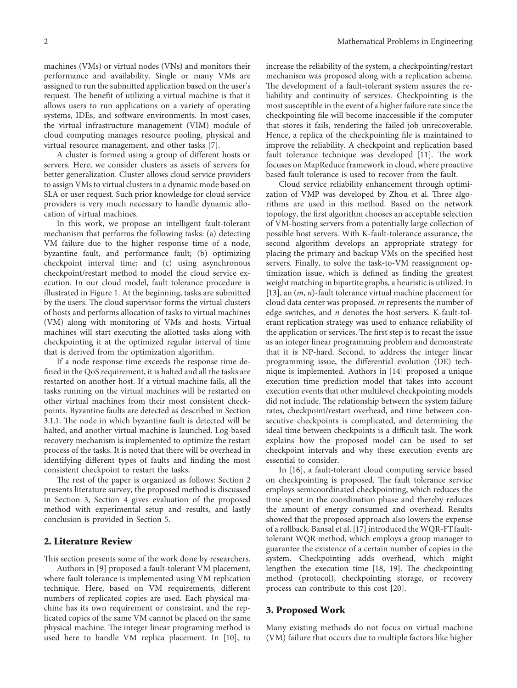machines (VMs) or virtual nodes (VNs) and monitors their performance and availability. Single or many VMs are assigned to run the submitted application based on the user's request. The benefit of utilizing a virtual machine is that it allows users to run applications on a variety of operating systems, IDEs, and software environments. In most cases, the virtual infrastructure management (VIM) module of cloud computing manages resource pooling, physical and virtual resource management, and other tasks [\[7\]](#page-11-0).

A cluster is formed using a group of different hosts or servers. Here, we consider clusters as assets of servers for better generalization. Cluster allows cloud service providers to assign VMs to virtual clusters in a dynamic mode based on SLA or user request. Such prior knowledge for cloud service providers is very much necessary to handle dynamic allocation of virtual machines.

In this work, we propose an intelligent fault-tolerant mechanism that performs the following tasks: (a) detecting VM failure due to the higher response time of a node, byzantine fault, and performance fault; (b) optimizing checkpoint interval time; and (c) using asynchronous checkpoint/restart method to model the cloud service execution. In our cloud model, fault tolerance procedure is illustrated in Figure [1](#page-3-0). At the beginning, tasks are submitted by the users. The cloud supervisor forms the virtual clusters of hosts and performs allocation of tasks to virtual machines (VM) along with monitoring of VMs and hosts. Virtual machines will start executing the allotted tasks along with checkpointing it at the optimized regular interval of time that is derived from the optimization algorithm.

If a node response time exceeds the response time defined in the QoS requirement, it is halted and all the tasks are restarted on another host. If a virtual machine fails, all the tasks running on the virtual machines will be restarted on other virtual machines from their most consistent checkpoints. Byzantine faults are detected as described in Section [3.1.1.](#page-3-0) The node in which byzantine fault is detected will be halted, and another virtual machine is launched. Log-based recovery mechanism is implemented to optimize the restart process of the tasks. It is noted that there will be overhead in identifying different types of faults and finding the most consistent checkpoint to restart the tasks.

The rest of the paper is organized as follows: Section 2 presents literature survey, the proposed method is discussed in Section 3, Section [4](#page-9-0) gives evaluation of the proposed method with experimental setup and results, and lastly conclusion is provided in Section [5.](#page-11-0)

#### **2. Literature Review**

This section presents some of the work done by researchers.

Authors in [[9](#page-11-0)] proposed a fault-tolerant VM placement, where fault tolerance is implemented using VM replication technique. Here, based on VM requirements, different numbers of replicated copies are used. Each physical machine has its own requirement or constraint, and the replicated copies of the same VM cannot be placed on the same physical machine. The integer linear programing method is used here to handle VM replica placement. In [[10\]](#page-11-0), to increase the reliability of the system, a checkpointing/restart mechanism was proposed along with a replication scheme. The development of a fault-tolerant system assures the reliability and continuity of services. Checkpointing is the most susceptible in the event of a higher failure rate since the checkpointing file will become inaccessible if the computer that stores it fails, rendering the failed job unrecoverable. Hence, a replica of the checkpointing file is maintained to improve the reliability. A checkpoint and replication based fault tolerance technique was developed [\[11\]](#page-11-0). The work focuses on MapReduce framework in cloud, where proactive based fault tolerance is used to recover from the fault.

Cloud service reliability enhancement through optimization of VMP was developed by Zhou et al. Three algorithms are used in this method. Based on the network topology, the first algorithm chooses an acceptable selection of VM-hosting servers from a potentially large collection of possible host servers. With K-fault-tolerance assurance, the second algorithm develops an appropriate strategy for placing the primary and backup VMs on the specified host servers. Finally, to solve the task-to-VM reassignment optimization issue, which is defined as finding the greatest weight matching in bipartite graphs, a heuristic is utilized. In [\[13](#page-12-0)], an (*m*, *n*)-fault tolerance virtual machine placement for cloud data center was proposed. *m* represents the number of edge switches, and *n* denotes the host servers. K-fault-tolerant replication strategy was used to enhance reliability of the application or services. The first step is to recast the issue as an integer linear programming problem and demonstrate that it is NP-hard. Second, to address the integer linear programming issue, the differential evolution (DE) technique is implemented. Authors in [[14](#page-12-0)] proposed a unique execution time prediction model that takes into account execution events that other multilevel checkpointing models did not include. The relationship between the system failure rates, checkpoint/restart overhead, and time between consecutive checkpoints is complicated, and determining the ideal time between checkpoints is a difficult task. The work explains how the proposed model can be used to set checkpoint intervals and why these execution events are essential to consider.

In [[16\]](#page-12-0), a fault-tolerant cloud computing service based on checkpointing is proposed. The fault tolerance service employs semicoordinated checkpointing, which reduces the time spent in the coordination phase and thereby reduces the amount of energy consumed and overhead. Results showed that the proposed approach also lowers the expense of a rollback. Bansal et al. [\[17](#page-12-0)] introduced the WQR-FT faulttolerant WQR method, which employs a group manager to guarantee the existence of a certain number of copies in the system. Checkpointing adds overhead, which might lengthen the execution time  $[18, 19]$  $[18, 19]$  $[18, 19]$ . The checkpointing method (protocol), checkpointing storage, or recovery process can contribute to this cost [[20](#page-12-0)].

#### **3. Proposed Work**

Many existing methods do not focus on virtual machine (VM) failure that occurs due to multiple factors like higher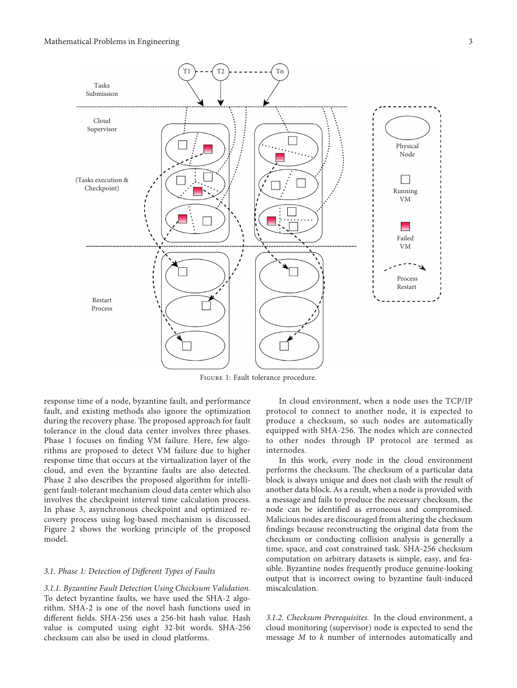<span id="page-3-0"></span>

Figure 1: Fault tolerance procedure.

response time of a node, byzantine fault, and performance fault, and existing methods also ignore the optimization during the recovery phase. The proposed approach for fault tolerance in the cloud data center involves three phases. Phase 1 focuses on finding VM failure. Here, few algorithms are proposed to detect VM failure due to higher response time that occurs at the virtualization layer of the cloud, and even the byzantine faults are also detected. Phase 2 also describes the proposed algorithm for intelligent fault-tolerant mechanism cloud data center which also involves the checkpoint interval time calculation process. In phase 3, asynchronous checkpoint and optimized recovery process using log-based mechanism is discussed. Figure [2](#page-4-0) shows the working principle of the proposed model.

#### *3.1. Phase 1: Detection of Different Types of Faults*

*3.1.1. Byzantine Fault Detection Using Checksum Validation.* To detect byzantine faults, we have used the SHA-2 algorithm. SHA-2 is one of the novel hash functions used in different fields. SHA-256 uses a 256-bit hash value. Hash value is computed using eight 32-bit words. SHA-256 checksum can also be used in cloud platforms.

In cloud environment, when a node uses the TCP/IP protocol to connect to another node, it is expected to produce a checksum, so such nodes are automatically equipped with SHA-256. The nodes which are connected to other nodes through IP protocol are termed as internodes.

In this work, every node in the cloud environment performs the checksum. The checksum of a particular data block is always unique and does not clash with the result of another data block. As a result, when a node is provided with a message and fails to produce the necessary checksum, the node can be identified as erroneous and compromised. Malicious nodes are discouraged from altering the checksum findings because reconstructing the original data from the checksum or conducting collision analysis is generally a time, space, and cost constrained task. SHA-256 checksum computation on arbitrary datasets is simple, easy, and feasible. Byzantine nodes frequently produce genuine-looking output that is incorrect owing to byzantine fault-induced miscalculation.

*3.1.2. Checksum Prerequisites.* In the cloud environment, a cloud monitoring (supervisor) node is expected to send the message *M* to *k* number of internodes automatically and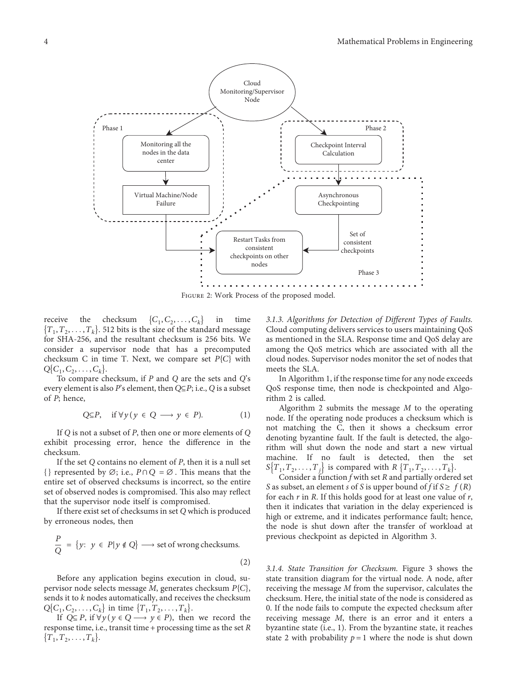<span id="page-4-0"></span>

Figure 2: Work Process of the proposed model.

receive the checksum  $\{C_1, C_2, \ldots, C_k\}$  in time  ${T_1, T_2, \ldots, T_k}$ . 512 bits is the size of the standard message for SHA-256, and the resultant checksum is 256 bits. We consider a supervisor node that has a precomputed checksum C in time T. Next, we compare set  $P\{C\}$  with  $Q\{C_1, C_2, \ldots, C_k\}.$ 

To compare checksum, if *P* and *Q* are the sets and *Q*'s every element is also *P*'s element, then *Q*⊆*P*; i.e., *Q* is a subset of *P*; hence,

$$
Q \subseteq P, \quad \text{if } \forall y (y \in Q \longrightarrow y \in P). \tag{1}
$$

If *Q* is not a subset of *P*, then one or more elements of *Q* exhibit processing error, hence the difference in the checksum.

If the set *Q* contains no element of *P*, then it is a null set {} represented by  $\emptyset$ ; i.e.,  $P \cap Q = \emptyset$ . This means that the entire set of observed checksums is incorrect, so the entire set of observed nodes is compromised. This also may reflect that the supervisor node itself is compromised.

If there exist set of checksums in set *Q* which is produced by erroneous nodes, then

$$
\frac{P}{Q} = \{y: y \in P | y \notin Q\} \longrightarrow \text{set of wrong checksums.}
$$
\n(2)

Before any application begins execution in cloud, supervisor node selects message *M*, generates checksum *P*{*C*}, sends it to *k* nodes automatically, and receives the checksum  $Q\{C_1, C_2, \ldots, C_k\}$  in time  $\{T_1, T_2, \ldots, T_k\}$ .

If *Q*⊆ *P*, if  $\forall y$  (*y* ∈ *Q* → *y* ∈ *P*), then we record the response time, i.e., transit time + processing time as the set *R*  ${T_1, T_2, \ldots, T_k}.$ 

*3.1.3. Algorithms for Detection of Different Types of Faults.* Cloud computing delivers services to users maintaining QoS as mentioned in the SLA. Response time and QoS delay are among the QoS metrics which are associated with all the cloud nodes. Supervisor nodes monitor the set of nodes that meets the SLA.

In Algorithm [1](#page-5-0), if the response time for any node exceeds QoS response time, then node is checkpointed and Algorithm [2](#page-5-0) is called.

Algorithm [2](#page-5-0) submits the message *M* to the operating node. If the operating node produces a checksum which is not matching the C, then it shows a checksum error denoting byzantine fault. If the fault is detected, the algorithm will shut down the node and start a new virtual machine. If no fault is detected, then the set  $S\{T_1, T_2, \ldots, T_j\}$  is compared with  $R\{T_1, T_2, \ldots, T_k\}$ .

Consider a function *f* with set *R* and partially ordered set *S* as subset, an element *s* of *S* is upper bound of *f* if  $S \ge f(R)$ for each *r* in *R*. If this holds good for at least one value of *r*, then it indicates that variation in the delay experienced is high or extreme, and it indicates performance fault; hence, the node is shut down after the transfer of workload at previous checkpoint as depicted in Algorithm [3.](#page-5-0)

*3.1.4. State Transition for Checksum.* Figure [3](#page-5-0) shows the state transition diagram for the virtual node. A node, after receiving the message *M* from the supervisor, calculates the checksum. Here, the initial state of the node is considered as 0. If the node fails to compute the expected checksum after receiving message *M*, there is an error and it enters a byzantine state (i.e., 1). From the byzantine state, it reaches state 2 with probability  $p = 1$  where the node is shut down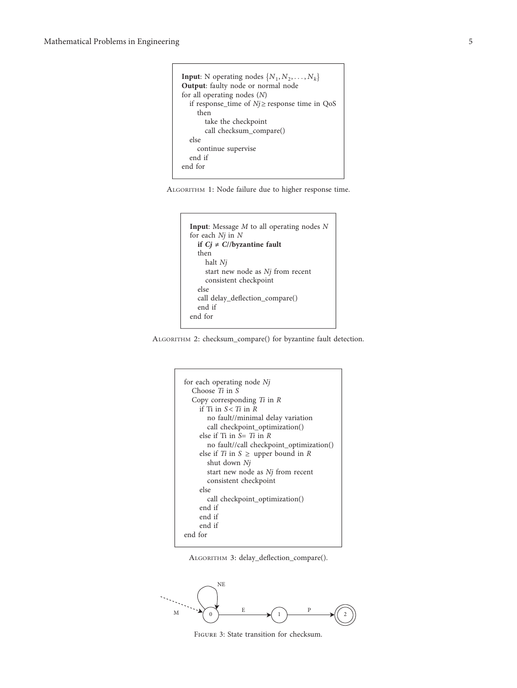<span id="page-5-0"></span>**Input**: N operating nodes  $\{N_1, N_2, \ldots, N_k\}$ **Output**: faulty node or normal node for all operating nodes (*N*) if response\_time of  $Nj \ge$  response time in QoS then take the checkpoint call checksum\_compare() else continue supervise end if end for

| ALGORITHM 1: Node failure due to higher response time. |  |  |  |  |  |  |  |  |
|--------------------------------------------------------|--|--|--|--|--|--|--|--|
|--------------------------------------------------------|--|--|--|--|--|--|--|--|

```
Input: Message M to all operating nodes N
for each Nj in N
  if Cj \neq C//byzantine fault
  then
    halt Nj
    start new node as Nj from recent
    consistent checkpoint
  else
  call delay_deflection_compare()
  end if
end for
```
ALGORITHM 2: checksum\_compare() for byzantine fault detection.

```
for each operating node Nj
  Choose Ti in S
  Copy corresponding Ti in R
    if Ti in S < Ti in Rno fault//minimal delay variation
       call checkpoint_optimization()
    else if Ti in S� Ti in R
       no fault//call checkpoint_optimization()
    else if Ti in S \geq upper bound in R
       shut down Nj
       start new node as Nj from recent
       consistent checkpoint
    else
       call checkpoint_optimization()
    end if
    end if
    end if
end for
```




Figure 3: State transition for checksum.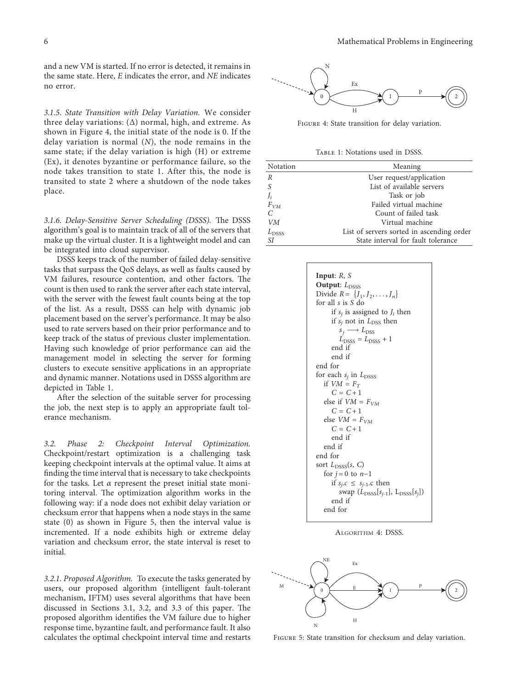<span id="page-6-0"></span>and a new VM is started. If no error is detected, it remains in the same state. Here, *E* indicates the error, and *NE* indicates no error.

*3.1.5. State Transition with Delay Variation.* We consider three delay variations:  $(\Delta)$  normal, high, and extreme. As shown in Figure 4, the initial state of the node is 0. If the delay variation is normal (*N*), the node remains in the same state; if the delay variation is high (H) or extreme (Ex), it denotes byzantine or performance failure, so the node takes transition to state 1. After this, the node is transited to state 2 where a shutdown of the node takes place.

3.1.6. Delay-Sensitive Server Scheduling (DSSS). The DSSS algorithm's goal is to maintain track of all of the servers that make up the virtual cluster. It is a lightweight model and can be integrated into cloud supervisor.

DSSS keeps track of the number of failed delay-sensitive tasks that surpass the QoS delays, as well as faults caused by VM failures, resource contention, and other factors. The count is then used to rank the server after each state interval, with the server with the fewest fault counts being at the top of the list. As a result, DSSS can help with dynamic job placement based on the server's performance. It may be also used to rate servers based on their prior performance and to keep track of the status of previous cluster implementation. Having such knowledge of prior performance can aid the management model in selecting the server for forming clusters to execute sensitive applications in an appropriate and dynamic manner. Notations used in DSSS algorithm are depicted in Table 1.

After the selection of the suitable server for processing the job, the next step is to apply an appropriate fault tolerance mechanism.

*3.2. Phase 2: Checkpoint Interval Optimization.* Checkpoint/restart optimization is a challenging task keeping checkpoint intervals at the optimal value. It aims at finding the time interval that is necessary to take checkpoints for the tasks. Let  $\alpha$  represent the preset initial state monitoring interval. The optimization algorithm works in the following way: if a node does not exhibit delay variation or checksum error that happens when a node stays in the same state (0) as shown in Figure 5, then the interval value is incremented. If a node exhibits high or extreme delay variation and checksum error, the state interval is reset to initial.

*3.2.1. Proposed Algorithm.* To execute the tasks generated by users, our proposed algorithm (intelligent fault-tolerant mechanism, IFTM) uses several algorithms that have been discussed in Sections 3.1, 3.2, and 3.3 of this paper. The proposed algorithm identifies the VM failure due to higher response time, byzantine fault, and performance fault. It also calculates the optimal checkpoint interval time and restarts



Figure 4: State transition for delay variation.

TABLE 1: Notations used in DSSS.

| Notation       | Meaning<br>User request/application       |  |  |  |  |
|----------------|-------------------------------------------|--|--|--|--|
| R              |                                           |  |  |  |  |
| S              | List of available servers                 |  |  |  |  |
| J <sub>i</sub> | Task or job                               |  |  |  |  |
| $F_{VM}$       | Failed virtual machine                    |  |  |  |  |
| C              | Count of failed task                      |  |  |  |  |
| VМ             | Virtual machine                           |  |  |  |  |
| $L_{\rm DSSS}$ | List of servers sorted in ascending order |  |  |  |  |
| SI             | State interval for fault tolerance        |  |  |  |  |



ALGORITHM 4: DSSS.



Figure 5: State transition for checksum and delay variation.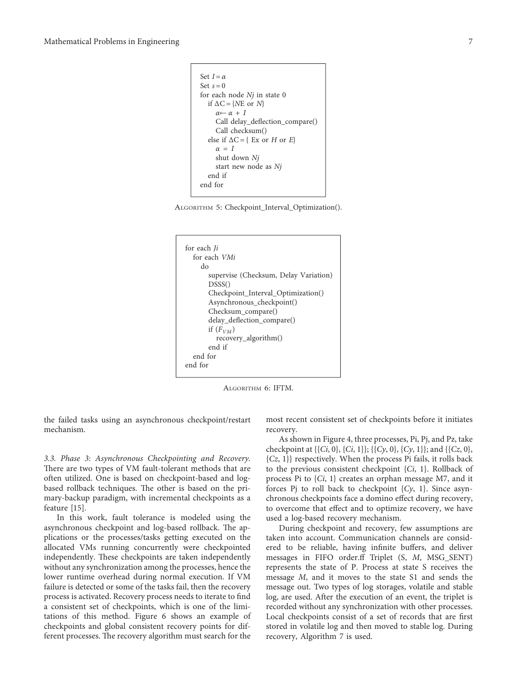```
Set I = \alphaSet s = 0for each node Nj in state 0
   if \Delta C = \{NE \text{ or } N\}α← α + I
      Call delay_deflection_compare()
      Call checksum()
   else if \Delta C = \{ \text{Ex or } H \text{ or } E \}\alpha = Ishut down Nj
      start new node as Nj
   end if
end for
```

| ALGORITHM 5: Checkpoint_Interval_Optimization(). |  |  |  |  |
|--------------------------------------------------|--|--|--|--|
|--------------------------------------------------|--|--|--|--|



ALGORITHM 6: IFTM.

the failed tasks using an asynchronous checkpoint/restart mechanism.

*3.3. Phase 3: Asynchronous Checkpointing and Recovery.* There are two types of VM fault-tolerant methods that are often utilized. One is based on checkpoint-based and logbased rollback techniques. The other is based on the primary-backup paradigm, with incremental checkpoints as a feature [[15\]](#page-12-0).

In this work, fault tolerance is modeled using the asynchronous checkpoint and log-based rollback. The applications or the processes/tasks getting executed on the allocated VMs running concurrently were checkpointed independently. These checkpoints are taken independently without any synchronization among the processes, hence the lower runtime overhead during normal execution. If VM failure is detected or some of the tasks fail, then the recovery process is activated. Recovery process needs to iterate to find a consistent set of checkpoints, which is one of the limitations of this method. Figure [6](#page-8-0) shows an example of checkpoints and global consistent recovery points for different processes. The recovery algorithm must search for the

most recent consistent set of checkpoints before it initiates recovery.

As shown in Figure [4,](#page-6-0) three processes, Pi, Pj, and Pz, take checkpoint at {{*Ci*, 0}, {*Ci*, 1}}; {{*Cy*, 0}, {*Cy*, 1}}; and {{*Cz*, 0}, {*Cz*, 1}} respectively. When the process Pi fails, it rolls back to the previous consistent checkpoint {*Ci*, 1}. Rollback of process Pi to {*Ci*, 1} creates an orphan message M7, and it forces Pj to roll back to checkpoint {*Cy*, 1}. Since asynchronous checkpoints face a domino effect during recovery, to overcome that effect and to optimize recovery, we have used a log-based recovery mechanism.

During checkpoint and recovery, few assumptions are taken into account. Communication channels are considered to be reliable, having infinite buffers, and deliver messages in FIFO order.ff Triplet (S, *M*, MSG\_SENT) represents the state of P. Process at state S receives the message *M*, and it moves to the state S1 and sends the message out. Two types of log storages, volatile and stable log, are used. After the execution of an event, the triplet is recorded without any synchronization with other processes. Local checkpoints consist of a set of records that are first stored in volatile log and then moved to stable log. During recovery, Algorithm 7 is used.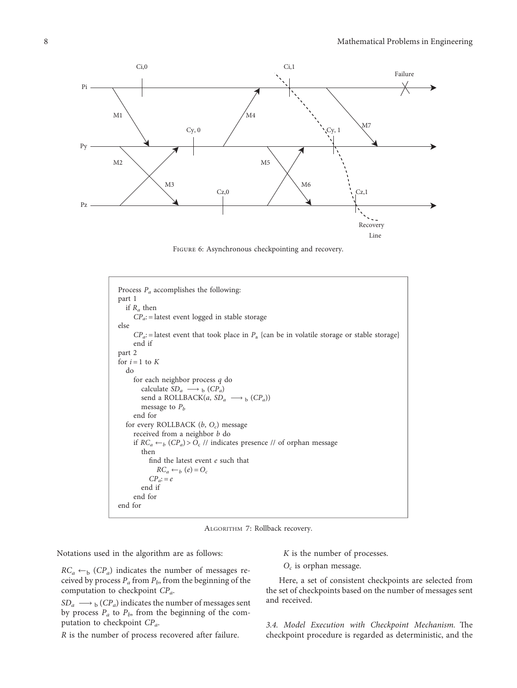<span id="page-8-0"></span>

Figure 6: Asynchronous checkpointing and recovery.



ALGORITHM 7: Rollback recovery.

Notations used in the algorithm are as follows:

 $RC_a \leftarrow_b (CP_a)$  indicates the number of messages received by process  $P_a$  from  $P_b$ , from the beginning of the computation to checkpoint *CPa*.

 $SD_a \longrightarrow_b (CP_a)$  indicates the number of messages sent by process  $P_a$  to  $P_b$ , from the beginning of the computation to checkpoint *CPa*.

*R* is the number of process recovered after failure.

*K* is the number of processes.

*Oc* is orphan message.

Here, a set of consistent checkpoints are selected from the set of checkpoints based on the number of messages sent and received.

3.4. Model Execution with Checkpoint Mechanism. The checkpoint procedure is regarded as deterministic, and the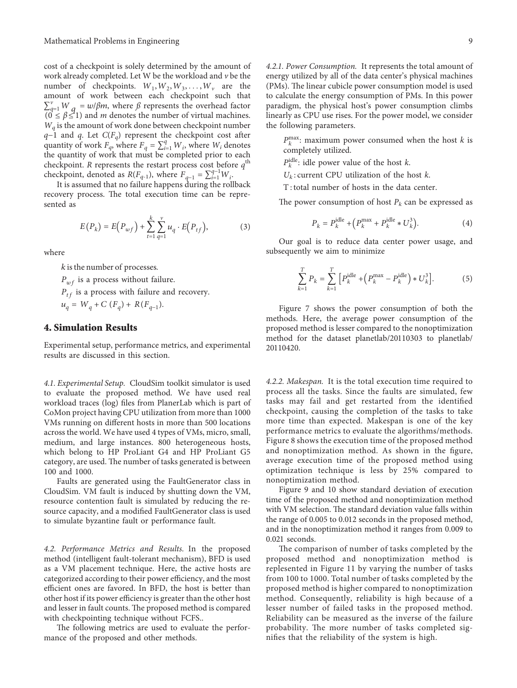<span id="page-9-0"></span>cost of a checkpoint is solely determined by the amount of work already completed. Let W be the workload and *v* be the number of checkpoints.  $W_1, W_2, W_3, \ldots, W_\nu$  are the amount of work between each checkpoint such that  $\sum_{q=1}^{v} W_{q} = w/\beta m$ , where *ß* represents the overhead factor  $(0 \leq \beta \leq 1)$  and *m* denotes the number of virtual machines. *Wq* is the amount of work done between checkpoint number *q*−1 and *q*. Let *C*(*F<sub>q</sub>*) represent the checkpoint cost after quantity of work  $F_q$ , where  $F_q = \sum_{i=1}^q W_i$ , where  $W_i$  denotes the quantity of work that must be completed prior to each checkpoint. *R* represents the restart process cost before  $q^{\text{th}}$ checkpoint, denoted as *R*(*F<sub>q-1</sub>*), where  $F_{q-1} = \sum_{i=1}^{q-1} W_i$ .

It is assumed that no failure happens during the rollback recovery process. The total execution time can be represented as

$$
E(P_k) = E(P_{wf}) + \sum_{t=1}^{k} \sum_{q=1}^{v} u_q \cdot E(P_{tf}),
$$
 (3)

where

*k* is the number of processes*.*

*P<sub>wf</sub>* is a process without failure.

 $P_{tf}$  is a process with failure and recovery.

 $u_q = W_q + C(F_q) + R(F_{q-1}).$ 

#### **4. Simulation Results**

Experimental setup, performance metrics, and experimental results are discussed in this section.

*4.1. Experimental Setup.* CloudSim toolkit simulator is used to evaluate the proposed method. We have used real workload traces (log) files from PlanerLab which is part of CoMon project having CPU utilization from more than 1000 VMs running on different hosts in more than 500 locations across the world. We have used 4 types of VMs, micro, small, medium, and large instances. 800 heterogeneous hosts, which belong to HP ProLiant G4 and HP ProLiant G5 category, are used. The number of tasks generated is between 100 and 1000.

Faults are generated using the FaultGenerator class in CloudSim. VM fault is induced by shutting down the VM, resource contention fault is simulated by reducing the resource capacity, and a modified FaultGenerator class is used to simulate byzantine fault or performance fault.

*4.2. Performance Metrics and Results.* In the proposed method (intelligent fault-tolerant mechanism), BFD is used as a VM placement technique. Here, the active hosts are categorized according to their power efficiency, and the most efficient ones are favored. In BFD, the host is better than other host if its power efficiency is greater than the other host and lesser in fault counts. The proposed method is compared with checkpointing technique without FCFS..

The following metrics are used to evaluate the performance of the proposed and other methods.

*4.2.1. Power Consumption.* It represents the total amount of energy utilized by all of the data center's physical machines (PMs). The linear cubicle power consumption model is used to calculate the energy consumption of PMs. In this power paradigm, the physical host's power consumption climbs linearly as CPU use rises. For the power model, we consider the following parameters.

 $P_k^{\max}$ : maximum power consumed when the host *k* is completely utilized.

 $P_k^{\text{idle}}$ : idle power value of the host *k*.

 $U_k$ : current CPU utilization of the host  $k$ .

T : total number of hosts in the data center.

The power consumption of host  $P_k$  can be expressed as

$$
P_k = P_k^{\text{idle}} + \left(P_k^{\text{max}} + P_k^{\text{idle}} * U_k^3\right). \tag{4}
$$

Our goal is to reduce data center power usage, and subsequently we aim to minimize

$$
\sum_{k=1}^{T} P_k = \sum_{k=1}^{T} \left[ P_k^{\text{idle}} + \left( P_k^{\text{max}} - P_k^{\text{idle}} \right) * U_k^3 \right]. \tag{5}
$$

Figure [7](#page-10-0) shows the power consumption of both the methods. Here, the average power consumption of the proposed method is lesser compared to the nonoptimization method for the dataset planetlab/20110303 to planetlab/ 20110420.

*4.2.2. Makespan.* It is the total execution time required to process all the tasks. Since the faults are simulated, few tasks may fail and get restarted from the identified checkpoint, causing the completion of the tasks to take more time than expected. Makespan is one of the key performance metrics to evaluate the algorithms/methods. Figure [8](#page-10-0) shows the execution time of the proposed method and nonoptimization method. As shown in the figure, average execution time of the proposed method using optimization technique is less by 25% compared to nonoptimization method.

Figure [9](#page-10-0) and [10](#page-11-0) show standard deviation of execution time of the proposed method and nonoptimization method with VM selection. The standard deviation value falls within the range of 0.005 to 0.012 seconds in the proposed method, and in the nonoptimization method it ranges from 0.009 to 0.021 seconds.

The comparison of number of tasks completed by the proposed method and nonoptimization method is replesented in Figure [11](#page-11-0) by varying the number of tasks from 100 to 1000. Total number of tasks completed by the proposed method is higher compared to nonoptimization method. Consequently, reliability is high because of a lesser number of failed tasks in the proposed method. Reliability can be measured as the inverse of the failure probability. The more number of tasks completed signifies that the reliability of the system is high.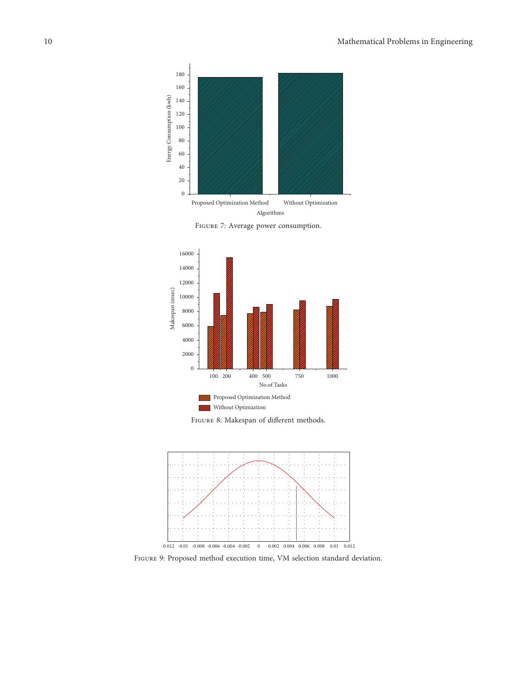<span id="page-10-0"></span>









Figure 9: Proposed method execution time, VM selection standard deviation.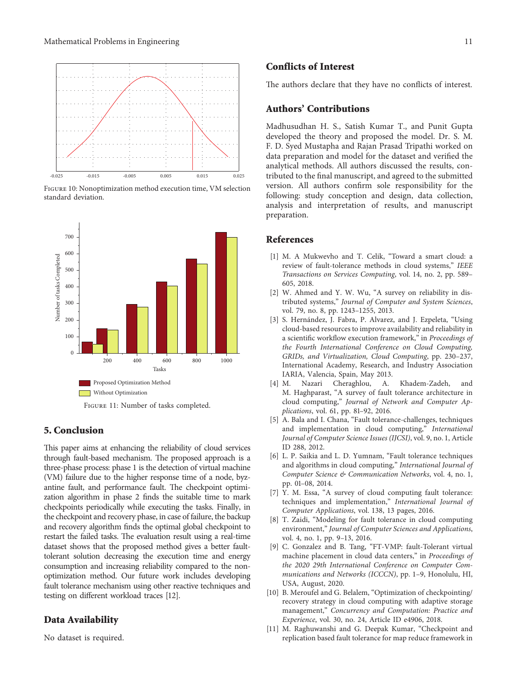<span id="page-11-0"></span>

Figure 10: Nonoptimization method execution time, VM selection standard deviation.



Figure 11: Number of tasks completed.

## **5. Conclusion**

This paper aims at enhancing the reliability of cloud services through fault-based mechanism. The proposed approach is a three-phase process: phase 1 is the detection of virtual machine (VM) failure due to the higher response time of a node, byzantine fault, and performance fault. The checkpoint optimization algorithm in phase 2 finds the suitable time to mark checkpoints periodically while executing the tasks. Finally, in the checkpoint and recovery phase, in case of failure, the backup and recovery algorithm finds the optimal global checkpoint to restart the failed tasks. The evaluation result using a real-time dataset shows that the proposed method gives a better faulttolerant solution decreasing the execution time and energy consumption and increasing reliability compared to the nonoptimization method. Our future work includes developing fault tolerance mechanism using other reactive techniques and testing on different workload traces [\[12](#page-12-0)].

## **Data Availability**

No dataset is required.

#### **Conflicts of Interest**

The authors declare that they have no conflicts of interest.

#### **Authors' Contributions**

Madhusudhan H. S., Satish Kumar T., and Punit Gupta developed the theory and proposed the model. Dr. S. M. F. D. Syed Mustapha and Rajan Prasad Tripathi worked on data preparation and model for the dataset and verified the analytical methods. All authors discussed the results, contributed to the final manuscript, and agreed to the submitted version. All authors confirm sole responsibility for the following: study conception and design, data collection, analysis and interpretation of results, and manuscript preparation.

## **References**

- [1] M. A Mukwevho and T. Celik, "Toward a smart cloud: a review of fault-tolerance methods in cloud systems," *IEEE Transactions on Services Computing*, vol. 14, no. 2, pp. 589– 605, 2018.
- [2] W. Ahmed and Y. W. Wu, "A survey on reliability in distributed systems," *Journal of Computer and System Sciences*, vol. 79, no. 8, pp. 1243–1255, 2013.
- [3] S. Hernández, J. Fabra, P. Alvarez, and J. Ezpeleta, "Using cloud-based resources to improve availability and reliability in a scientific workflow execution framework," in *Proceedings of the Fourth International Conference on Cloud Computing, GRIDs, and Virtualization, Cloud Computing*, pp. 230–237, International Academy, Research, and Industry Association IARIA, Valencia, Spain, May 2013.<br>[4] M. Nazari Cheraghlou, A.
- Nazari Cheraghlou, A. Khadem-Zadeh, and M. Haghparast, "A survey of fault tolerance architecture in cloud computing," *Journal of Network and Computer Applications*, vol. 61, pp. 81–92, 2016.
- [5] A. Bala and I. Chana, "Fault tolerance-challenges, techniques and implementation in cloud computing," *International Journal of Computer Science Issues (IJCSI)*, vol. 9, no. 1, Article ID 288, 2012.
- [6] L. P. Saikia and L. D. Yumnam, "Fault tolerance techniques and algorithms in cloud computing," *International Journal of Computer Science & Communication Networks*, vol. 4, no. 1, pp. 01–08, 2014.
- [7] Y. M. Essa, "A survey of cloud computing fault tolerance: techniques and implementation," *International Journal of Computer Applications*, vol. 138, 13 pages, 2016.
- [8] T. Zaidi, "Modeling for fault tolerance in cloud computing environment," *Journal of Computer Sciences and Applications*, vol. 4, no. 1, pp. 9–13, 2016.
- [9] C. Gonzalez and B. Tang, "FT-VMP: fault-Tolerant virtual machine placement in cloud data centers," in *Proceedings of the 2020 29th International Conference on Computer Communications and Networks (ICCCN)*, pp. 1–9, Honolulu, HI, USA, August, 2020.
- [10] B. Meroufel and G. Belalem, "Optimization of checkpointing/ recovery strategy in cloud computing with adaptive storage management," *Concurrency and Computation: Practice and Experience*, vol. 30, no. 24, Article ID e4906, 2018.
- [11] M. Raghuwanshi and G. Deepak Kumar, "Checkpoint and replication based fault tolerance for map reduce framework in